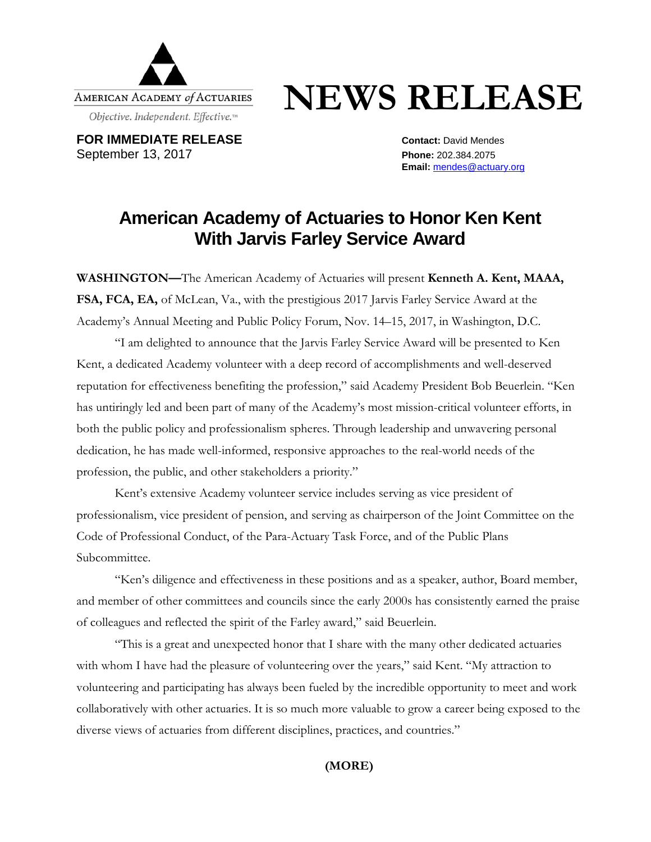

## **NEWS RELEASE**

**FOR IMMEDIATE RELEASE CONTACT: Contact: David Mendes** September 13, 2017 **Phone:** 202.384.2075

**Email:** [mendes@actuary.org](mailto:mendes@actuary.org)

## **American Academy of Actuaries to Honor Ken Kent With Jarvis Farley Service Award**

**WASHINGTON—**The American Academy of Actuaries will present **Kenneth A. Kent, MAAA, FSA, FCA, EA,** of McLean, Va., with the prestigious 2017 Jarvis Farley Service Award at the Academy's Annual Meeting and Public Policy Forum, Nov. 14–15, 2017, in Washington, D.C.

"I am delighted to announce that the Jarvis Farley Service Award will be presented to Ken Kent, a dedicated Academy volunteer with a deep record of accomplishments and well-deserved reputation for effectiveness benefiting the profession," said Academy President Bob Beuerlein. "Ken has untiringly led and been part of many of the Academy's most mission-critical volunteer efforts, in both the public policy and professionalism spheres. Through leadership and unwavering personal dedication, he has made well-informed, responsive approaches to the real-world needs of the profession, the public, and other stakeholders a priority."

Kent's extensive Academy volunteer service includes serving as vice president of professionalism, vice president of pension, and serving as chairperson of the Joint Committee on the Code of Professional Conduct, of the Para-Actuary Task Force, and of the Public Plans Subcommittee.

"Ken's diligence and effectiveness in these positions and as a speaker, author, Board member, and member of other committees and councils since the early 2000s has consistently earned the praise of colleagues and reflected the spirit of the Farley award," said Beuerlein.

"This is a great and unexpected honor that I share with the many other dedicated actuaries with whom I have had the pleasure of volunteering over the years," said Kent. "My attraction to volunteering and participating has always been fueled by the incredible opportunity to meet and work collaboratively with other actuaries. It is so much more valuable to grow a career being exposed to the diverse views of actuaries from different disciplines, practices, and countries."

**(MORE)**